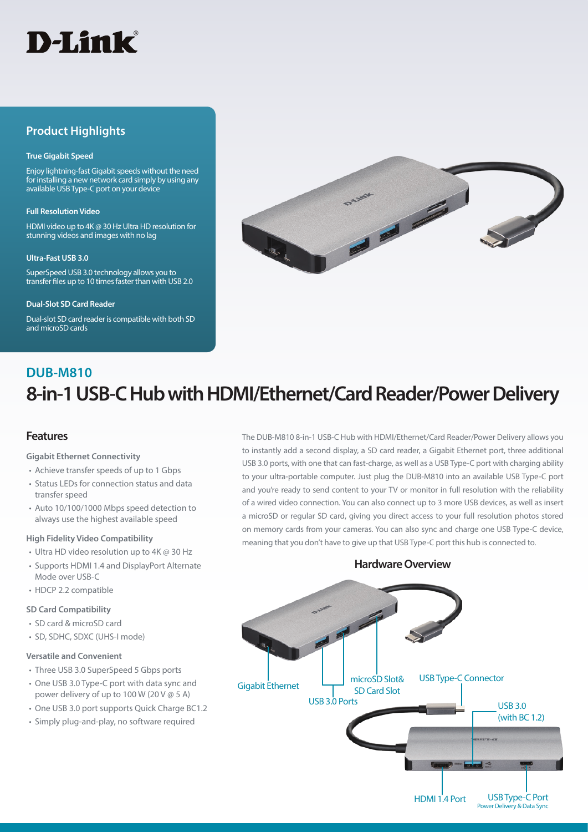

# **Product Highlights**

#### **True Gigabit Speed**

Enjoy lightning-fast Gigabit speeds without the need for installing a new network card simply by using any available USB Type-C port on your device

#### **Full Resolution Video**

HDMI video up to 4K @ 30 Hz Ultra HD resolution for stunning videos and images with no lag

#### **Ultra-Fast USB 3.0**

SuperSpeed USB 3.0 technology allows you to transfer files up to 10 times faster than with USB 2.0

#### **Dual-Slot SD Card Reader**

Dual-slot SD card reader is compatible with both SD and microSD cards



# **8-in-1 USB-C Hub with HDMI/Ethernet/Card Reader/Power Delivery DUB-M810**

### **Features**

#### **Gigabit Ethernet Connectivity**

- Achieve transfer speeds of up to 1 Gbps
- Status LEDs for connection status and data transfer speed
- Auto 10/100/1000 Mbps speed detection to always use the highest available speed

#### **High Fidelity Video Compatibility**

- Ultra HD video resolution up to 4K @ 30 Hz
- Supports HDMI 1.4 and DisplayPort Alternate Mode over USB-C
- HDCP 2.2 compatible

#### **SD Card Compatibility**

- SD card & microSD card
- SD, SDHC, SDXC (UHS-I mode)

#### **Versatile and Convenient**

- Three USB 3.0 SuperSpeed 5 Gbps ports
- One USB 3.0 Type-C port with data sync and power delivery of up to 100 W (20 V @ 5 A)
- One USB 3.0 port supports Quick Charge BC1.2
- Simply plug-and-play, no software required

The DUB-M810 8-in-1 USB-C Hub with HDMI/Ethernet/Card Reader/Power Delivery allows you to instantly add a second display, a SD card reader, a Gigabit Ethernet port, three additional USB 3.0 ports, with one that can fast-charge, as well as a USB Type-C port with charging ability to your ultra-portable computer. Just plug the DUB-M810 into an available USB Type-C port and you're ready to send content to your TV or monitor in full resolution with the reliability of a wired video connection. You can also connect up to 3 more USB devices, as well as insert a microSD or regular SD card, giving you direct access to your full resolution photos stored on memory cards from your cameras. You can also sync and charge one USB Type-C device, meaning that you don't have to give up that USB Type-C port this hub is connected to.

## **Hardware Overview**